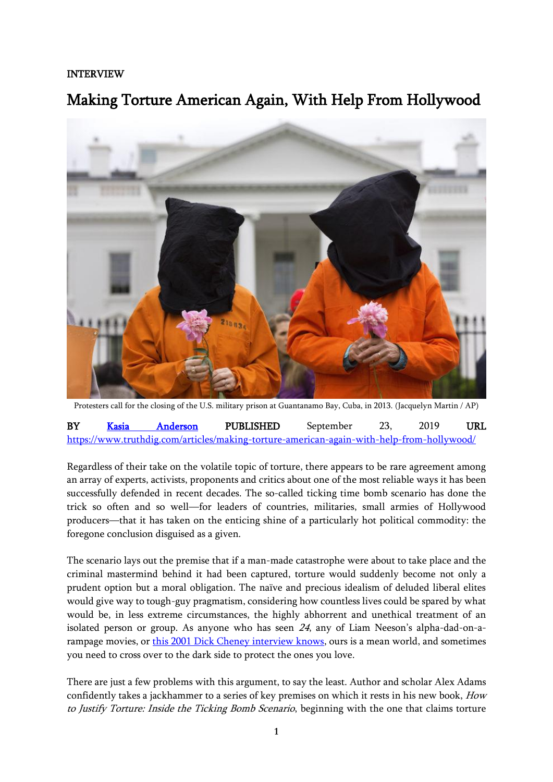## INTERVIEW

## Making Torture American Again, With Help From Hollywood



Protesters call for the closing of the U.S. military prison at Guantanamo Bay, Cuba, in 2013. (Jacquelyn Martin / AP)

| <b>BY</b>                                                                                 | Kasia | Anderson | PUBLISHED | September |  | 2019 | URL |
|-------------------------------------------------------------------------------------------|-------|----------|-----------|-----------|--|------|-----|
| https://www.truthdig.com/articles/making-torture-american-again-with-help-from-hollywood/ |       |          |           |           |  |      |     |

Regardless of their take on the volatile topic of torture, there appears to be rare agreement among an array of experts, activists, proponents and critics about one of the most reliable ways it has been successfully defended in recent decades. The so-called ticking time bomb scenario has done the trick so often and so well—for leaders of countries, militaries, small armies of Hollywood producers—that it has taken on the enticing shine of a particularly hot political commodity: the foregone conclusion disguised as a given.

The scenario lays out the premise that if a man-made catastrophe were about to take place and the criminal mastermind behind it had been captured, torture would suddenly become not only a prudent option but a moral obligation. The naïve and precious idealism of deluded liberal elites would give way to tough-guy pragmatism, considering how countless lives could be spared by what would be, in less extreme circumstances, the highly abhorrent and unethical treatment of an isolated person or group. As anyone who has seen 24, any of Liam Neeson's alpha-dad-on-arampage movies, or [this 2001 Dick Cheney interview knows,](https://georgewbush-whitehouse.archives.gov/vicepresident/news-speeches/speeches/vp20010916.html) ours is a mean world, and sometimes you need to cross over to the dark side to protect the ones you love.

There are just a few problems with this argument, to say the least. Author and scholar Alex Adams confidently takes a jackhammer to a series of key premises on which it rests in his new book, How to Justify Torture: Inside the Ticking Bomb Scenario, beginning with the one that claims torture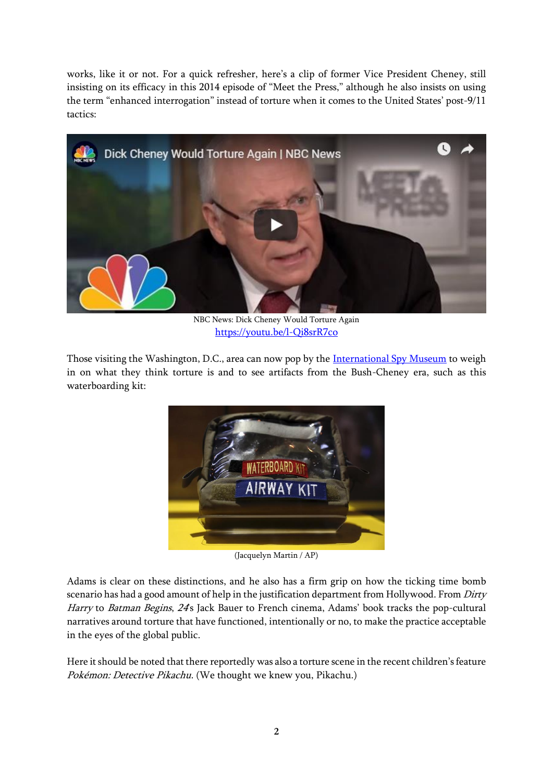works, like it or not. For a quick refresher, here's a clip of former Vice President Cheney, still insisting on its efficacy in this 2014 episode of "Meet the Press," although he also insists on using the term "enhanced interrogation" instead of torture when it comes to the United States' post-9/11 tactics:



NBC News: Dick Cheney Would Torture Again <https://youtu.be/l-Qi8srR7co>

Those visiting the Washington, D.C., area can now pop by the [International Spy Museum](https://www.npr.org/2019/05/11/721381228/a-new-spy-museum-that-tackles-torture-and-other-tough-questions) to weigh in on what they think torture is and to see artifacts from the Bush-Cheney era, such as this waterboarding kit:



(Jacquelyn Martin / AP)

Adams is clear on these distinctions, and he also has a firm grip on how the ticking time bomb scenario has had a good amount of help in the justification department from Hollywood. From Dirty Harry to Batman Begins, 24's Jack Bauer to French cinema, Adams' book tracks the pop-cultural narratives around torture that have functioned, intentionally or no, to make the practice acceptable in the eyes of the global public.

Here it should be noted that there reportedly was also a torture scene in the recent children's feature Pokémon: Detective Pikachu. (We thought we knew you, Pikachu.)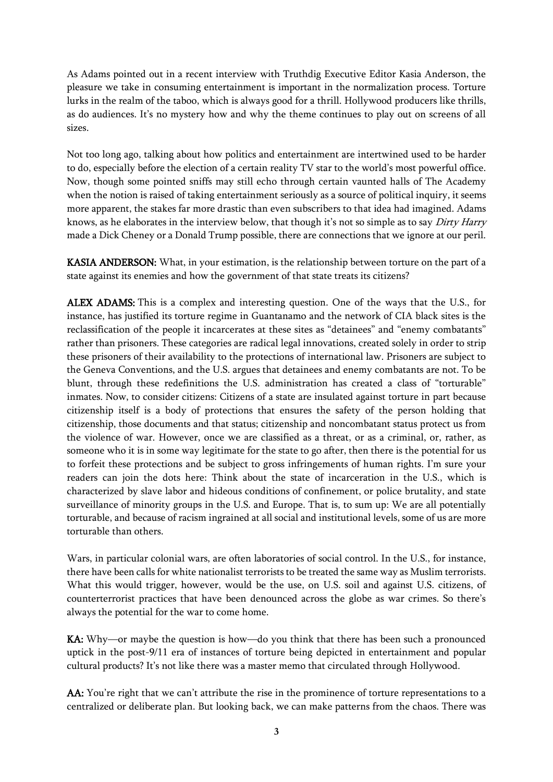As Adams pointed out in a recent interview with Truthdig Executive Editor Kasia Anderson, the pleasure we take in consuming entertainment is important in the normalization process. Torture lurks in the realm of the taboo, which is always good for a thrill. Hollywood producers like thrills, as do audiences. It's no mystery how and why the theme continues to play out on screens of all sizes.

Not too long ago, talking about how politics and entertainment are intertwined used to be harder to do, especially before the election of a certain reality TV star to the world's most powerful office. Now, though some pointed sniffs may still echo through certain vaunted halls of The Academy when the notion is raised of taking entertainment seriously as a source of political inquiry, it seems more apparent, the stakes far more drastic than even subscribers to that idea had imagined. Adams knows, as he elaborates in the interview below, that though it's not so simple as to say Dirty Harry made a Dick Cheney or a Donald Trump possible, there are connections that we ignore at our peril.

KASIA ANDERSON: What, in your estimation, is the relationship between torture on the part of a state against its enemies and how the government of that state treats its citizens?

ALEX ADAMS: This is a complex and interesting question. One of the ways that the U.S., for instance, has justified its torture regime in Guantanamo and the network of CIA black sites is the reclassification of the people it incarcerates at these sites as "detainees" and "enemy combatants" rather than prisoners. These categories are radical legal innovations, created solely in order to strip these prisoners of their availability to the protections of international law. Prisoners are subject to the Geneva Conventions, and the U.S. argues that detainees and enemy combatants are not. To be blunt, through these redefinitions the U.S. administration has created a class of "torturable" inmates. Now, to consider citizens: Citizens of a state are insulated against torture in part because citizenship itself is a body of protections that ensures the safety of the person holding that citizenship, those documents and that status; citizenship and noncombatant status protect us from the violence of war. However, once we are classified as a threat, or as a criminal, or, rather, as someone who it is in some way legitimate for the state to go after, then there is the potential for us to forfeit these protections and be subject to gross infringements of human rights. I'm sure your readers can join the dots here: Think about the state of incarceration in the U.S., which is characterized by slave labor and hideous conditions of confinement, or police brutality, and state surveillance of minority groups in the U.S. and Europe. That is, to sum up: We are all potentially torturable, and because of racism ingrained at all social and institutional levels, some of us are more torturable than others.

Wars, in particular colonial wars, are often laboratories of social control. In the U.S., for instance, there have been calls for white nationalist terrorists to be treated the same way as Muslim terrorists. What this would trigger, however, would be the use, on U.S. soil and against U.S. citizens, of counterterrorist practices that have been denounced across the globe as war crimes. So there's always the potential for the war to come home.

KA: Why—or maybe the question is how—do you think that there has been such a pronounced uptick in the post-9/11 era of instances of torture being depicted in entertainment and popular cultural products? It's not like there was a master memo that circulated through Hollywood.

AA: You're right that we can't attribute the rise in the prominence of torture representations to a centralized or deliberate plan. But looking back, we can make patterns from the chaos. There was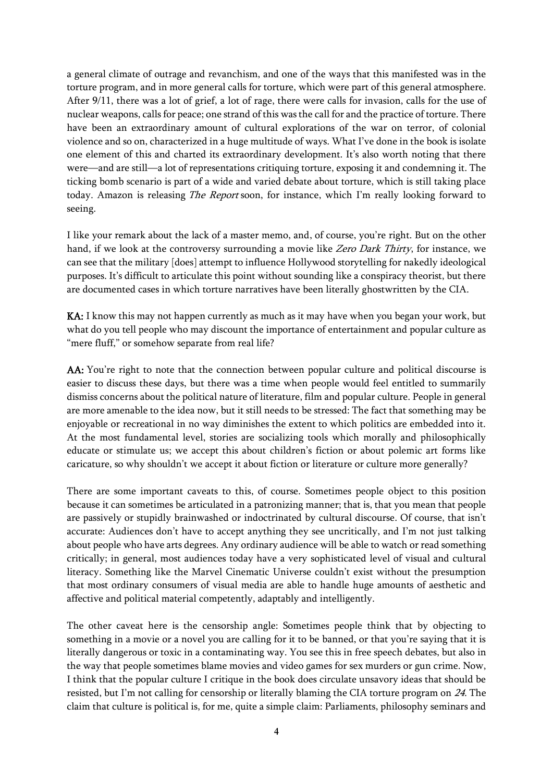a general climate of outrage and revanchism, and one of the ways that this manifested was in the torture program, and in more general calls for torture, which were part of this general atmosphere. After 9/11, there was a lot of grief, a lot of rage, there were calls for invasion, calls for the use of nuclear weapons, calls for peace; one strand of this was the call for and the practice of torture. There have been an extraordinary amount of cultural explorations of the war on terror, of colonial violence and so on, characterized in a huge multitude of ways. What I've done in the book is isolate one element of this and charted its extraordinary development. It's also worth noting that there were—and are still—a lot of representations critiquing torture, exposing it and condemning it. The ticking bomb scenario is part of a wide and varied debate about torture, which is still taking place today. Amazon is releasing The Report soon, for instance, which I'm really looking forward to seeing.

I like your remark about the lack of a master memo, and, of course, you're right. But on the other hand, if we look at the controversy surrounding a movie like Zero Dark Thirty, for instance, we can see that the military [does] attempt to influence Hollywood storytelling for nakedly ideological purposes. It's difficult to articulate this point without sounding like a conspiracy theorist, but there are documented cases in which torture narratives have been literally ghostwritten by the CIA.

KA: I know this may not happen currently as much as it may have when you began your work, but what do you tell people who may discount the importance of entertainment and popular culture as "mere fluff," or somehow separate from real life?

AA: You're right to note that the connection between popular culture and political discourse is easier to discuss these days, but there was a time when people would feel entitled to summarily dismiss concerns about the political nature of literature, film and popular culture. People in general are more amenable to the idea now, but it still needs to be stressed: The fact that something may be enjoyable or recreational in no way diminishes the extent to which politics are embedded into it. At the most fundamental level, stories are socializing tools which morally and philosophically educate or stimulate us; we accept this about children's fiction or about polemic art forms like caricature, so why shouldn't we accept it about fiction or literature or culture more generally?

There are some important caveats to this, of course. Sometimes people object to this position because it can sometimes be articulated in a patronizing manner; that is, that you mean that people are passively or stupidly brainwashed or indoctrinated by cultural discourse. Of course, that isn't accurate: Audiences don't have to accept anything they see uncritically, and I'm not just talking about people who have arts degrees. Any ordinary audience will be able to watch or read something critically; in general, most audiences today have a very sophisticated level of visual and cultural literacy. Something like the Marvel Cinematic Universe couldn't exist without the presumption that most ordinary consumers of visual media are able to handle huge amounts of aesthetic and affective and political material competently, adaptably and intelligently.

The other caveat here is the censorship angle: Sometimes people think that by objecting to something in a movie or a novel you are calling for it to be banned, or that you're saying that it is literally dangerous or toxic in a contaminating way. You see this in free speech debates, but also in the way that people sometimes blame movies and video games for sex murders or gun crime. Now, I think that the popular culture I critique in the book does circulate unsavory ideas that should be resisted, but I'm not calling for censorship or literally blaming the CIA torture program on <sup>24</sup>. The claim that culture is political is, for me, quite a simple claim: Parliaments, philosophy seminars and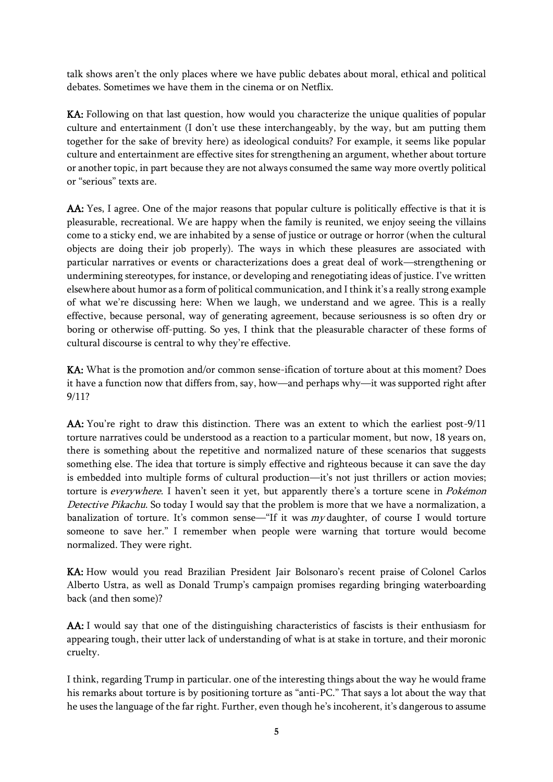talk shows aren't the only places where we have public debates about moral, ethical and political debates. Sometimes we have them in the cinema or on Netflix.

KA: Following on that last question, how would you characterize the unique qualities of popular culture and entertainment (I don't use these interchangeably, by the way, but am putting them together for the sake of brevity here) as ideological conduits? For example, it seems like popular culture and entertainment are effective sites for strengthening an argument, whether about torture or another topic, in part because they are not always consumed the same way more overtly political or "serious" texts are.

AA: Yes, I agree. One of the major reasons that popular culture is politically effective is that it is pleasurable, recreational. We are happy when the family is reunited, we enjoy seeing the villains come to a sticky end, we are inhabited by a sense of justice or outrage or horror (when the cultural objects are doing their job properly). The ways in which these pleasures are associated with particular narratives or events or characterizations does a great deal of work—strengthening or undermining stereotypes, for instance, or developing and renegotiating ideas of justice. I've written elsewhere about humor as a form of political communication, and I think it's a really strong example of what we're discussing here: When we laugh, we understand and we agree. This is a really effective, because personal, way of generating agreement, because seriousness is so often dry or boring or otherwise off-putting. So yes, I think that the pleasurable character of these forms of cultural discourse is central to why they're effective.

KA: What is the promotion and/or common sense-ification of torture about at this moment? Does it have a function now that differs from, say, how—and perhaps why—it was supported right after 9/11?

AA: You're right to draw this distinction. There was an extent to which the earliest post-9/11 torture narratives could be understood as a reaction to a particular moment, but now, 18 years on, there is something about the repetitive and normalized nature of these scenarios that suggests something else. The idea that torture is simply effective and righteous because it can save the day is embedded into multiple forms of cultural production—it's not just thrillers or action movies; torture is everywhere. I haven't seen it yet, but apparently there's a torture scene in Pokémon Detective Pikachu. So today I would say that the problem is more that we have a normalization, a banalization of torture. It's common sense—"If it was my daughter, of course I would torture someone to save her." I remember when people were warning that torture would become normalized. They were right.

KA: How would you read Brazilian President Jair Bolsonaro's recent praise of Colonel Carlos Alberto Ustra, as well as Donald Trump's campaign promises regarding bringing waterboarding back (and then some)?

AA: I would say that one of the distinguishing characteristics of fascists is their enthusiasm for appearing tough, their utter lack of understanding of what is at stake in torture, and their moronic cruelty.

I think, regarding Trump in particular. one of the interesting things about the way he would frame his remarks about torture is by positioning torture as "anti-PC." That says a lot about the way that he uses the language of the far right. Further, even though he's incoherent, it's dangerous to assume